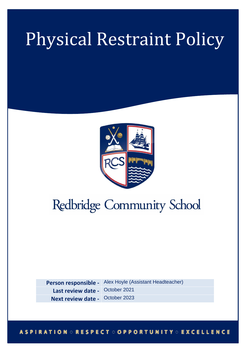# Physical Restraint Policy



# Redbridge Community School

**Person responsible -** Alex Hoyle (Assistant Headteacher) Last review date - October 2021 **Next review date -** October 2023

# **ASPIRATION ORESPECT OOPPORTUNITY OEXCELLENCE**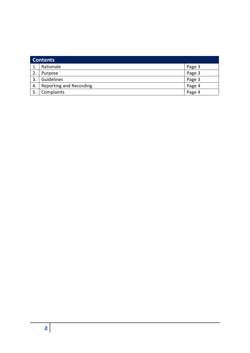| <b>Contents</b> |                                |        |
|-----------------|--------------------------------|--------|
| 1.              | Rationale                      | Page 3 |
| 2.              | Purpose                        | Page 3 |
| 3.              | Guidelines                     | Page 3 |
| 4.              | <b>Reporting and Recording</b> | Page 4 |
| 5.              | Complaints                     | Page 4 |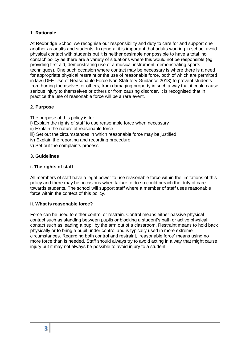## **1. Rationale**

At Redbridge School we recognise our responsibility and duty to care for and support one another as adults and students. In general it is important that adults working in school avoid physical contact with students but it is neither desirable nor possible to have a total 'no contact' policy as there are a variety of situations where this would not be responsible (eg providing first aid, demonstrating use of a musical instrument, demonstrating sports techniques). One such occasion where contact may be necessary is where there is a need for appropriate physical restraint or the use of reasonable force, both of which are permitted in law (DFE Use of Reasonable Force Non Statutory Guidance 2013) to prevent students from hurting themselves or others, from damaging property in such a way that it could cause serious injury to themselves or others or from causing disorder. It is recognised that in practice the use of reasonable force will be a rare event.

# **2. Purpose**

The purpose of this policy is to:

- i) Explain the rights of staff to use reasonable force when necessary
- ii) Explain the nature of reasonable force
- iii) Set out the circumstances in which reasonable force may be justified
- iv) Explain the reporting and recording procedure
- v) Set out the complaints process

#### **3. Guidelines**

#### **i. The rights of staff**

All members of staff have a legal power to use reasonable force within the limitations of this policy and there may be occasions when failure to do so could breach the duty of care towards students. The school will support staff where a member of staff uses reasonable force within the context of this policy.

#### **ii. What is reasonable force?**

Force can be used to either control or restrain. Control means either passive physical contact such as standing between pupils or blocking a student's path or active physical contact such as leading a pupil by the arm out of a classroom. Restraint means to hold back physically or to bring a pupil under control and is typically used in more extreme circumstances. Regarding both control and restraint, 'reasonable force' means using no more force than is needed. Staff should always try to avoid acting in a way that might cause injury but it may not always be possible to avoid injury to a student.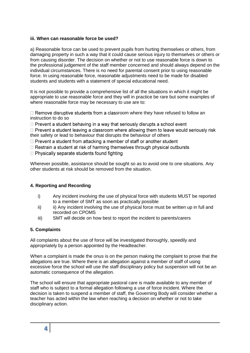#### **iii. When can reasonable force be used?**

a) Reasonable force can be used to prevent pupils from hurting themselves or others, from damaging property in such a way that it could cause serious injury to themselves or others or from causing disorder. The decision on whether or not to use reasonable force is down to the professional judgement of the staff member concerned and should always depend on the individual circumstances. There is no need for parental consent prior to using reasonable force. In using reasonable force, reasonable adjustments need to be made for disabled students and students with a statement of special educational need.

It is not possible to provide a comprehensive list of all the situations in which it might be appropriate to use reasonable force and they will in practice be rare but some examples of where reasonable force may be necessary to use are to:

 $\Box$  Remove disruptive students from a classroom where they have refused to follow an instruction to do so

 $\Box$  Prevent a student behaving in a way that seriously disrupts a school event

 $\Box$  Prevent a student leaving a classroom where allowing them to leave would seriously risk their safety or lead to behaviour that disrupts the behaviour of others

 $\Box$  Prevent a student from attacking a member of staff or another student

 $\Box$  Restrain a student at risk of harming themselves through physical outbursts

 $\Box$  Physically separate students found fighting

Wherever possible, assistance should be sought so as to avoid one to one situations. Any other students at risk should be removed from the situation.

## **4. Reporting and Recording**

- i) Any incident involving the use of physical force with students MUST be reported to a member of SMT as soon as practically possible
- ii) ii) Any incident involving the use of physical force must be written up in full and recorded on CPOMS
- iii) SMT will decide on how best to report the incident to parents/carers

#### **5. Complaints**

All complaints about the use of force will be investigated thoroughly, speedily and appropriately by a person appointed by the Headteacher.

When a complaint is made the onus is on the person making the complaint to prove that the allegations are true. Where there is an allegation against a member of staff of using excessive force the school will use the staff disciplinary policy but suspension will not be an automatic consequence of the allegation.

The school will ensure that appropriate pastoral care is made available to any member of staff who is subject to a formal allegation following a use of force incident. Where the decision is taken to suspend a member of staff, the Governing Body will consider whether a teacher has acted within the law when reaching a decision on whether or not to take disciplinary action.